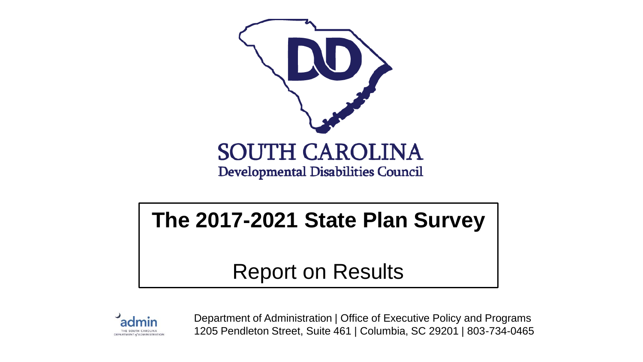

#### **The 2017-2021 State Plan Survey**

Report on Results



Department of Administration | Office of Executive Policy and Programs 1205 Pendleton Street, Suite 461 | Columbia, SC 29201 | 803-734-0465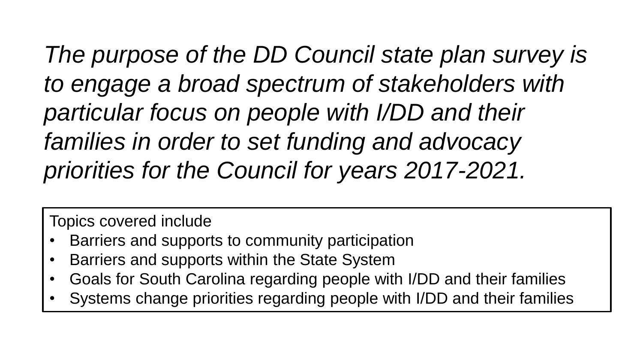*The purpose of the DD Council state plan survey is to engage a broad spectrum of stakeholders with particular focus on people with I/DD and their families in order to set funding and advocacy priorities for the Council for years 2017-2021.* 

Topics covered include

- Barriers and supports to community participation
- Barriers and supports within the State System
- Goals for South Carolina regarding people with I/DD and their families
- Systems change priorities regarding people with I/DD and their families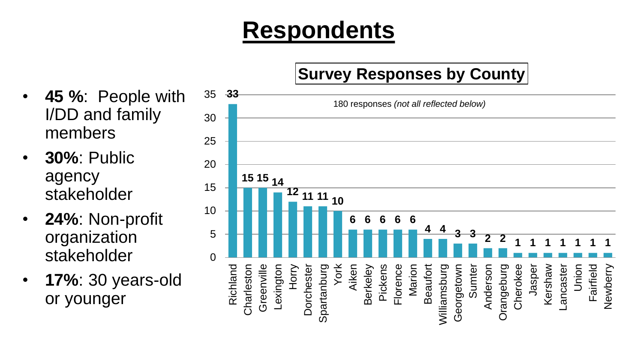#### **Respondents**

- **33 <sup>15</sup> <sup>15</sup> <sup>14</sup> <sup>12</sup> <sup>11</sup> <sup>11</sup> <sup>10</sup> 6 6 6 6 6 4 4 3 3 2 2 1 1 1 1 1 1 1**  $\Omega$ 5 10 15 20 25 30 35 Richland Charleston Greenville Lexington Horry Dorchester Spartanburg York Aiken **Berkeley** Pickens Florence Marion **Beaufort** Williamsburg Georgetown Sumter Anderson Orangeburg Cherokee Jasper Kershaw Lancaster Union Fairfield Newberry **Survey Responses by County** 180 responses *(not all reflected below)*
- **45 %**: People with I/DD and family members
- **30%**: Public agency stakeholder
- **24%**: Non-profit organization stakeholder
- **17%**: 30 years-old or younger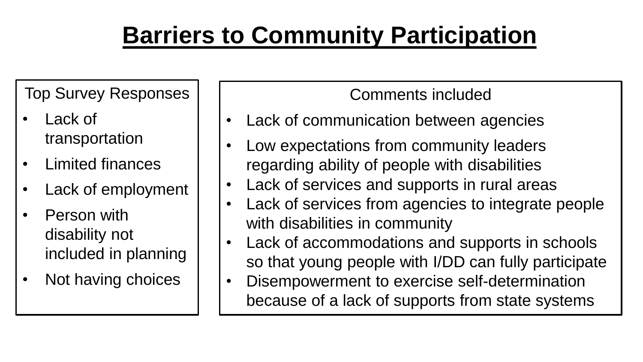## **Barriers to Community Participation**

Top Survey Responses

- Lack of transportation
- Limited finances
- Lack of employment
- Person with disability not included in planning
- Not having choices

- Lack of communication between agencies
- Low expectations from community leaders regarding ability of people with disabilities
- Lack of services and supports in rural areas
- Lack of services from agencies to integrate people with disabilities in community
- Lack of accommodations and supports in schools so that young people with I/DD can fully participate
- Disempowerment to exercise self-determination because of a lack of supports from state systems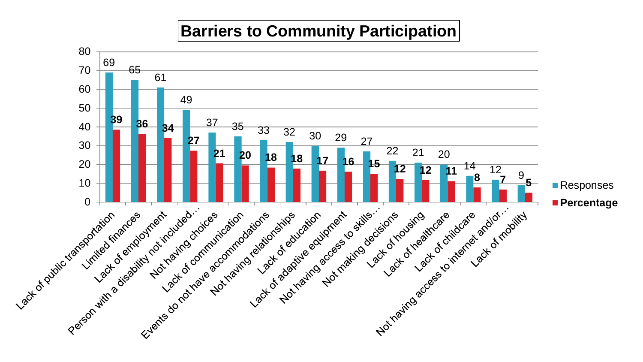#### **Barriers to Community Participation**

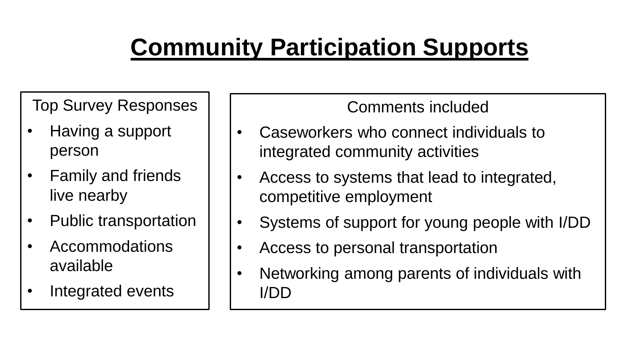# **Community Participation Supports**

Top Survey Responses

- Having a support person
- Family and friends live nearby
- Public transportation
- Accommodations available
- Integrated events

- Caseworkers who connect individuals to integrated community activities
- Access to systems that lead to integrated, competitive employment
- Systems of support for young people with I/DD
- Access to personal transportation
- Networking among parents of individuals with I/DD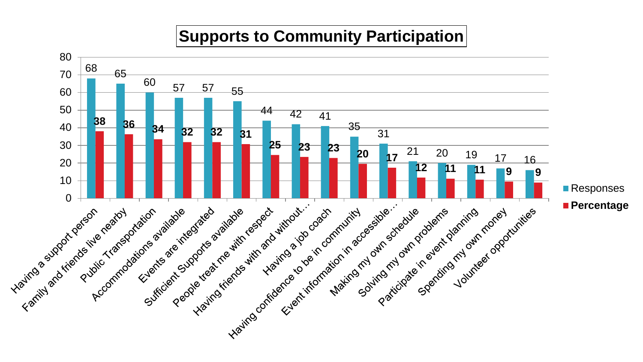#### **Supports to Community Participation**

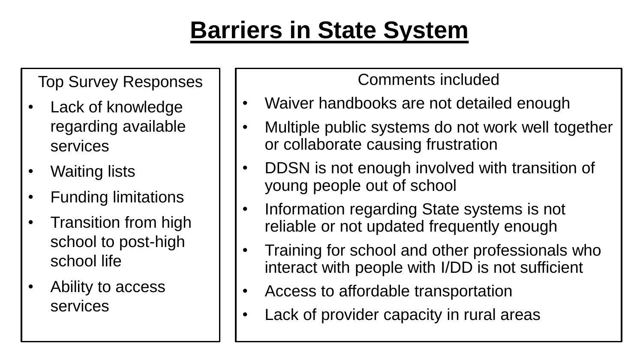### **Barriers in State System**

Top Survey Responses

- Lack of knowledge regarding available services
- Waiting lists
- Funding limitations
- Transition from high school to post-high school life
- Ability to access services

- Waiver handbooks are not detailed enough
- Multiple public systems do not work well together or collaborate causing frustration
- DDSN is not enough involved with transition of young people out of school
- Information regarding State systems is not reliable or not updated frequently enough
- Training for school and other professionals who interact with people with I/DD is not sufficient
- Access to affordable transportation
- Lack of provider capacity in rural areas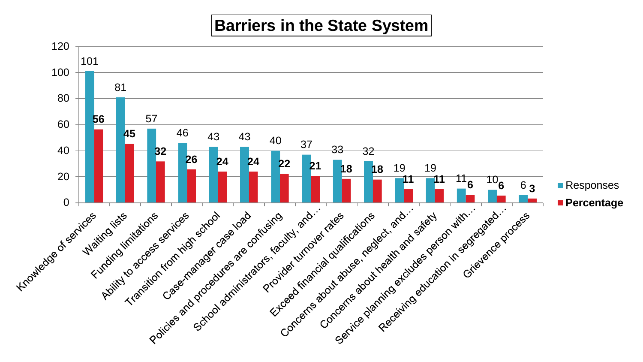#### **Barriers in the State System**

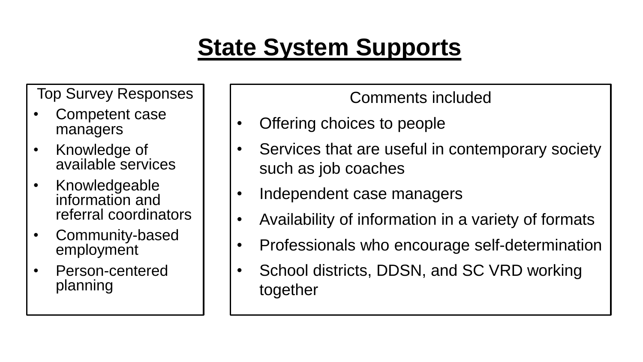### **State System Supports**

Top Survey Responses

- Competent case managers
- Knowledge of available services
- Knowledgeable information and referral coordinators
- Community-based employment
- Person-centered planning

- Offering choices to people
- Services that are useful in contemporary society such as job coaches
- Independent case managers
- Availability of information in a variety of formats
- Professionals who encourage self-determination
- School districts, DDSN, and SC VRD working together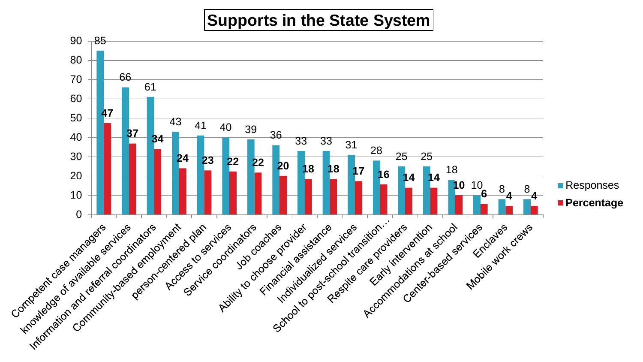#### **Supports in the State System**

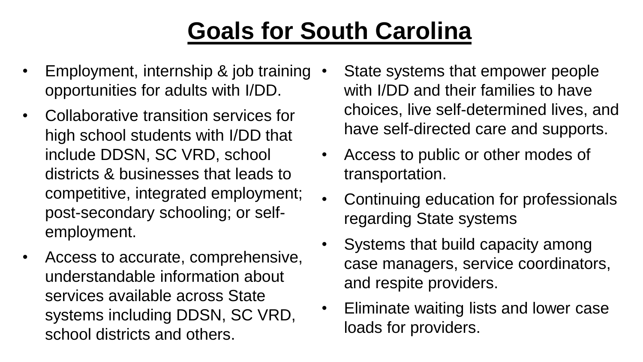### **Goals for South Carolina**

- Employment, internship & job training opportunities for adults with I/DD.
- Collaborative transition services for high school students with I/DD that include DDSN, SC VRD, school districts & businesses that leads to competitive, integrated employment; post-secondary schooling; or selfemployment.
- Access to accurate, comprehensive, understandable information about services available across State systems including DDSN, SC VRD, school districts and others.
- State systems that empower people with I/DD and their families to have choices, live self-determined lives, and have self-directed care and supports.
- Access to public or other modes of transportation.
- Continuing education for professionals regarding State systems
- Systems that build capacity among case managers, service coordinators, and respite providers.
- Eliminate waiting lists and lower case loads for providers.